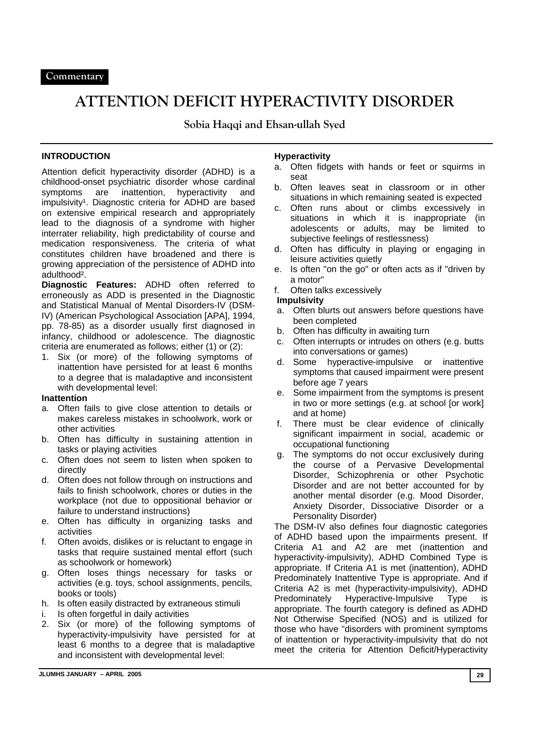# **ATTENTION DEFICIT HYPERACTIVITY DISORDER**

**Sobia Haqqi and Ehsan-ullah Syed** 

# **INTRODUCTION**

Attention deficit hyperactivity disorder (ADHD) is a childhood-onset psychiatric disorder whose cardinal symptoms are inattention, hyperactivity and impulsivity<sup>1</sup>. Diagnostic criteria for ADHD are based on extensive empirical research and appropriately lead to the diagnosis of a syndrome with higher interrater reliability, high predictability of course and medication responsiveness. The criteria of what constitutes children have broadened and there is growing appreciation of the persistence of ADHD into adulthood².

**Diagnostic Features:** ADHD often referred to erroneously as ADD is presented in the Diagnostic and Statistical Manual of Mental Disorders-IV (DSM-IV) (American Psychological Association [APA], 1994, pp. 78-85) as a disorder usually first diagnosed in infancy, childhood or adolescence. The diagnostic criteria are enumerated as follows; either (1) or (2):

1. Six (or more) of the following symptoms of inattention have persisted for at least 6 months to a degree that is maladaptive and inconsistent with developmental level:

#### **Inattention**

- a. Often fails to give close attention to details or makes careless mistakes in schoolwork, work or other activities
- b. Often has difficulty in sustaining attention in tasks or playing activities
- c. Often does not seem to listen when spoken to directly
- d. Often does not follow through on instructions and fails to finish schoolwork, chores or duties in the workplace (not due to oppositional behavior or failure to understand instructions)
- e. Often has difficulty in organizing tasks and activities
- f. Often avoids, dislikes or is reluctant to engage in tasks that require sustained mental effort (such as schoolwork or homework)
- g. Often loses things necessary for tasks or activities (e.g. toys, school assignments, pencils, books or tools)
- h. Is often easily distracted by extraneous stimuli
- i. Is often forgetful in daily activities
- 2. Six (or more) of the following symptoms of hyperactivity-impulsivity have persisted for at least 6 months to a degree that is maladaptive and inconsistent with developmental level:

#### **Hyperactivity**

- a. Often fidgets with hands or feet or squirms in seat
- b. Often leaves seat in classroom or in other situations in which remaining seated is expected
- c. Often runs about or climbs excessively in situations in which it is inappropriate (in adolescents or adults, may be limited to subjective feelings of restlessness)
- d. Often has difficulty in playing or engaging in leisure activities quietly
- e. Is often "on the go" or often acts as if "driven by a motor"
- f. Often talks excessively

#### **Impulsivity**

- a. Often blurts out answers before questions have been completed
- b. Often has difficulty in awaiting turn
- c. Often interrupts or intrudes on others (e.g. butts into conversations or games)
- d. Some hyperactive-impulsive or inattentive symptoms that caused impairment were present before age 7 years
- e. Some impairment from the symptoms is present in two or more settings (e.g. at school [or work] and at home)
- f. There must be clear evidence of clinically significant impairment in social, academic or occupational functioning
- g. The symptoms do not occur exclusively during the course of a Pervasive Developmental Disorder, Schizophrenia or other Psychotic Disorder and are not better accounted for by another mental disorder (e.g. Mood Disorder, Anxiety Disorder, Dissociative Disorder or a Personality Disorder)

The DSM-IV also defines four diagnostic categories of ADHD based upon the impairments present. If Criteria A1 and A2 are met (inattention and hyperactivity-impulsivity), ADHD Combined Type is appropriate. If Criteria A1 is met (inattention), ADHD Predominately Inattentive Type is appropriate. And if Criteria A2 is met (hyperactivity-impulsivity), ADHD Predominately Hyperactive-Impulsive Type is appropriate. The fourth category is defined as ADHD Not Otherwise Specified (NOS) and is utilized for those who have "disorders with prominent symptoms of inattention or hyperactivity-impulsivity that do not meet the criteria for Attention Deficit/Hyperactivity

**JLUMHS JANUARY – APRIL 2005 29**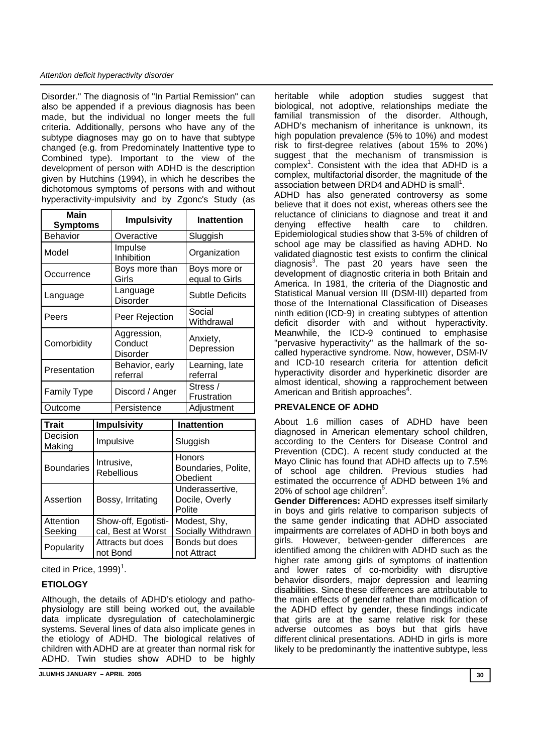#### *Attention deficit hyperactivity disorder*

Disorder." The diagnosis of "In Partial Remission" can also be appended if a previous diagnosis has been made, but the individual no longer meets the full criteria. Additionally, persons who have any of the subtype diagnoses may go on to have that subtype changed (e.g. from Predominately Inattentive type to Combined type). Important to the view of the development of person with ADHD is the description given by Hutchins (1994), in which he describes the dichotomous symptoms of persons with and without hyperactivity-impulsivity and by Zgonc's Study (as

| <b>Main</b><br><b>Symptoms</b> |                                           | <b>Impulsivity</b>                        |                                             | <b>Inattention</b>             |
|--------------------------------|-------------------------------------------|-------------------------------------------|---------------------------------------------|--------------------------------|
| Behavior                       |                                           | Overactive                                |                                             | Sluggish                       |
| Model                          |                                           | Impulse<br>Inhibition                     |                                             | Organization                   |
| Occurrence                     |                                           | Boys more than<br>Girls                   |                                             | Boys more or<br>equal to Girls |
| Language                       |                                           | Language<br><b>Disorder</b>               |                                             | <b>Subtle Deficits</b>         |
| Peers                          |                                           | Peer Rejection                            |                                             | Social<br>Withdrawal           |
| Comorbidity                    |                                           | Aggression,<br>Conduct<br><b>Disorder</b> |                                             | Anxiety,<br>Depression         |
| Presentation                   |                                           | Behavior, early<br>referral               |                                             | Learning, late<br>referral     |
| <b>Family Type</b>             |                                           | Discord / Anger                           |                                             | Stress /<br>Frustration        |
| Outcome                        |                                           | Persistence                               |                                             | Adjustment                     |
| <b>Trait</b>                   | <b>Impulsivity</b>                        |                                           | <b>Inattention</b>                          |                                |
| Decision<br>Making             | Impulsive                                 |                                           | Sluggish                                    |                                |
| <b>Boundaries</b>              | Intrusive,<br><b>Rebellious</b>           |                                           | Honors<br>Boundaries, Polite,<br>Obedient   |                                |
| Assertion                      | Bossy, Irritating                         |                                           | Underassertive,<br>Docile, Overly<br>Polite |                                |
| Attention<br>Seeking           | Show-off, Egotisti-<br>cal, Best at Worst |                                           | Modest, Shy,<br>Socially Withdrawn          |                                |
| Popularity                     | Attracts but does<br>not Bond             |                                           | Bonds but does<br>not Attract               |                                |

cited in Price,  $1999$ <sup>1</sup>.

# **ETIOLOGY**

Although, the details of ADHD's etiology and pathophysiology are still being worked out, the available data implicate dysregulation of catecholaminergic systems. Several lines of data also implicate genes in the etiology of ADHD. The biological relatives of children with ADHD are at greater than normal risk for ADHD. Twin studies show ADHD to be highly

**JLUMHS JANUARY – APRIL 2005 30** 

heritable while adoption studies suggest that biological, not adoptive, relationships mediate the familial transmission of the disorder. Although, ADHD's mechanism of inheritance is unknown, its high population prevalence (5% to 10%) and modest risk to first-degree relatives (about 15% to 20%) suggest that the mechanism of transmission is  $complex<sup>1</sup>$ . Consistent with the idea that ADHD is a complex, multifactorial disorder, the magnitude of the association between DRD4 and ADHD is small<sup>1</sup>.

ADHD has also generated controversy as some believe that it does not exist, whereas others see the reluctance of clinicians to diagnose and treat it and denying effective health care to children. denying effective health care to children. Epidemiological studies show that 3-5% of children of school age may be classified as having ADHD. No validated diagnostic test exists to confirm the clinical diagnosis $3$ . The past 20 years have seen the development of diagnostic criteria in both Britain and America. In 1981, the criteria of the Diagnostic and Statistical Manual version III (DSM-III) departed from those of the International Classification of Diseases ninth edition (ICD-9) in creating subtypes of attention deficit disorder with and without hyperactivity. Meanwhile, the ICD-9 continued to emphasise "pervasive hyperactivity" as the hallmark of the socalled hyperactive syndrome. Now, however, DSM-IV and ICD-10 research criteria for attention deficit hyperactivity disorder and hyperkinetic disorder are almost identical, showing a rapprochement between American and British approaches<sup>4</sup>.

#### **PREVALENCE OF ADHD**

About 1.6 million cases of ADHD have been diagnosed in American elementary school children, according to the Centers for Disease Control and Prevention (CDC). A recent study conducted at the Mayo Clinic has found that ADHD affects up to 7.5% of school age children. Previous studies had estimated the occurrence of ADHD between 1% and 20% of school age children<sup>5</sup>.

**Gender Differences:** ADHD expresses itself similarly in boys and girls relative to comparison subjects of the same gender indicating that ADHD associated impairments are correlates of ADHD in both boys and girls. However, between-gender differences are identified among the children with ADHD such as the higher rate among girls of symptoms of inattention and lower rates of co-morbidity with disruptive behavior disorders, major depression and learning disabilities. Since these differences are attributable to the main effects of gender rather than modification of the ADHD effect by gender, these findings indicate that girls are at the same relative risk for these adverse outcomes as boys but that girls have different clinical presentations. ADHD in girls is more likely to be predominantly the inattentive subtype, less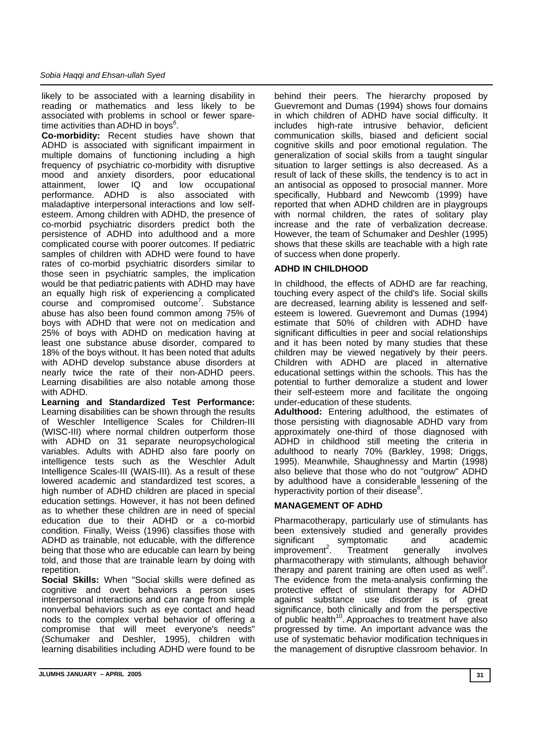likely to be associated with a learning disability in reading or mathematics and less likely to be associated with problems in school or fewer sparetime activities than ADHD in boys $6$ .

**Co-morbidity:** Recent studies have shown that ADHD is associated with significant impairment in multiple domains of functioning including a high frequency of psychiatric co-morbidity with disruptive mood and anxiety disorders, poor educational attainment, lower IQ and low occupational performance. ADHD is also associated with maladaptive interpersonal interactions and low selfesteem. Among children with ADHD, the presence of co-morbid psychiatric disorders predict both the persistence of ADHD into adulthood and a more complicated course with poorer outcomes. If pediatric samples of children with ADHD were found to have rates of co-morbid psychiatric disorders similar to those seen in psychiatric samples, the implication would be that pediatric patients with ADHD may have an equally high risk of experiencing a complicated course and compromised outcome7 . Substance abuse has also been found common among 75% of boys with ADHD that were not on medication and 25% of boys with ADHD on medication having at least one substance abuse disorder, compared to 18% of the boys without. It has been noted that adults with ADHD develop substance abuse disorders at nearly twice the rate of their non-ADHD peers. Learning disabilities are also notable among those with ADHD.

**Learning and Standardized Test Performance:**  Learning disabilities can be shown through the results of Weschler Intelligence Scales for Children-III (WISC-III) where normal children outperform those with ADHD on 31 separate neuropsychological variables. Adults with ADHD also fare poorly on intelligence tests such as the Weschler Adult Intelligence Scales-III (WAIS-III). As a result of these lowered academic and standardized test scores, a high number of ADHD children are placed in special education settings. However, it has not been defined as to whether these children are in need of special education due to their ADHD or a co-morbid condition. Finally, Weiss (1996) classifies those with ADHD as trainable, not educable, with the difference being that those who are educable can learn by being told, and those that are trainable learn by doing with repetition.

**Social Skills:** When "Social skills were defined as cognitive and overt behaviors a person uses interpersonal interactions and can range from simple nonverbal behaviors such as eye contact and head nods to the complex verbal behavior of offering a compromise that will meet everyone's needs" (Schumaker and Deshler, 1995), children with learning disabilities including ADHD were found to be

behind their peers. The hierarchy proposed by Guevremont and Dumas (1994) shows four domains in which children of ADHD have social difficulty. It includes high-rate intrusive behavior, deficient communication skills, biased and deficient social cognitive skills and poor emotional regulation. The generalization of social skills from a taught singular situation to larger settings is also decreased. As a result of lack of these skills, the tendency is to act in an antisocial as opposed to prosocial manner. More specifically, Hubbard and Newcomb (1999) have reported that when ADHD children are in playgroups with normal children, the rates of solitary play increase and the rate of verbalization decrease. However, the team of Schumaker and Deshler (1995) shows that these skills are teachable with a high rate of success when done properly.

# **ADHD IN CHILDHOOD**

In childhood, the effects of ADHD are far reaching, touching every aspect of the child's life. Social skills are decreased, learning ability is lessened and selfesteem is lowered. Guevremont and Dumas (1994) estimate that 50% of children with ADHD have significant difficulties in peer and social relationships and it has been noted by many studies that these children may be viewed negatively by their peers. Children with ADHD are placed in alternative educational settings within the schools. This has the potential to further demoralize a student and lower their self-esteem more and facilitate the ongoing under-education of these students.

**Adulthood:** Entering adulthood, the estimates of those persisting with diagnosable ADHD vary from approximately one-third of those diagnosed with ADHD in childhood still meeting the criteria in adulthood to nearly 70% (Barkley, 1998; Driggs, 1995). Meanwhile, Shaughnessy and Martin (1998) also believe that those who do not "outgrow" ADHD by adulthood have a considerable lessening of the hyperactivity portion of their disease<sup>8</sup>.

# **MANAGEMENT OF ADHD**

Pharmacotherapy, particularly use of stimulants has been extensively studied and generally provides significant symptomatic and academic<br>improvement<sup>2</sup>. Treatment generally involves  $improvement<sup>2</sup>$ . . Treatment generally involves pharmacotherapy with stimulants, although behavior therapy and parent training are often used as well<sup>9</sup>. The evidence from the meta-analysis confirming the protective effect of stimulant therapy for ADHD against substance use disorder is of great significance, both clinically and from the perspective of public health<sup>10</sup>. Approaches to treatment have also progressed by time. An important advance was the use of systematic behavior modification techniques in the management of disruptive classroom behavior. In